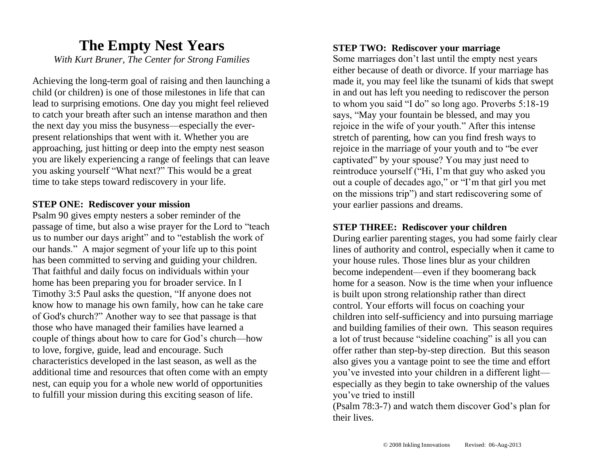### **The Empty Nest Years** *With Kurt Bruner, The Center for Strong Families*

Achieving the long-term goal of raising and then launching a child (or children) is one of those milestones in life that can lead to surprising emotions. One day you might feel relieved to catch your breath after such an intense marathon and then the next day you miss the busyness—especially the everpresent relationships that went with it. Whether you are approaching, just hitting or deep into the empty nest season you are likely experiencing a range of feelings that can leave you asking yourself "What next?" This would be a great time to take steps toward rediscovery in your life.

#### **STEP ONE: Rediscover your mission**

Psalm 90 gives empty nesters a sober reminder of the passage of time, but also a wise prayer for the Lord to "teach us to number our days aright" and to "establish the work of our hands." A major segment of your life up to this point has been committed to serving and guiding your children. That faithful and daily focus on individuals within your home has been preparing you for broader service. In I Timothy 3:5 Paul asks the question, "If anyone does not know how to manage his own family, how can he take care of God's church?" Another way to see that passage is that those who have managed their families have learned a couple of things about how to care for God's church—how to love, forgive, guide, lead and encourage. Such characteristics developed in the last season, as well as the additional time and resources that often come with an empty nest, can equip you for a whole new world of opportunities to fulfill your mission during this exciting season of life.

#### **STEP TWO: Rediscover your marriage**

Some marriages don't last until the empty nest years either because of death or divorce. If your marriage has made it, you may feel like the tsunami of kids that swept in and out has left you needing to rediscover the person to whom you said "I do" so long ago. Proverbs 5:18-19 says, "May your fountain be blessed, and may you rejoice in the wife of your youth." After this intense stretch of parenting, how can you find fresh ways to rejoice in the marriage of your youth and to "be ever captivated" by your spouse? You may just need to reintroduce yourself ("Hi, I'm that guy who asked you out a couple of decades ago," or "I'm that girl you met on the missions trip") and start rediscovering some of your earlier passions and dreams.

#### **STEP THREE: Rediscover your children**

During earlier parenting stages, you had some fairly clear lines of authority and control, especially when it came to your house rules. Those lines blur as your children become independent—even if they boomerang back home for a season. Now is the time when your influence is built upon strong relationship rather than direct control. Your efforts will focus on coaching your children into self-sufficiency and into pursuing marriage and building families of their own. This season requires a lot of trust because "sideline coaching" is all you can offer rather than step-by-step direction. But this season also gives you a vantage point to see the time and effort you've invested into your children in a different light especially as they begin to take ownership of the values you've tried to instill

(Psalm 78:3-7) and watch them discover God's plan for their lives.